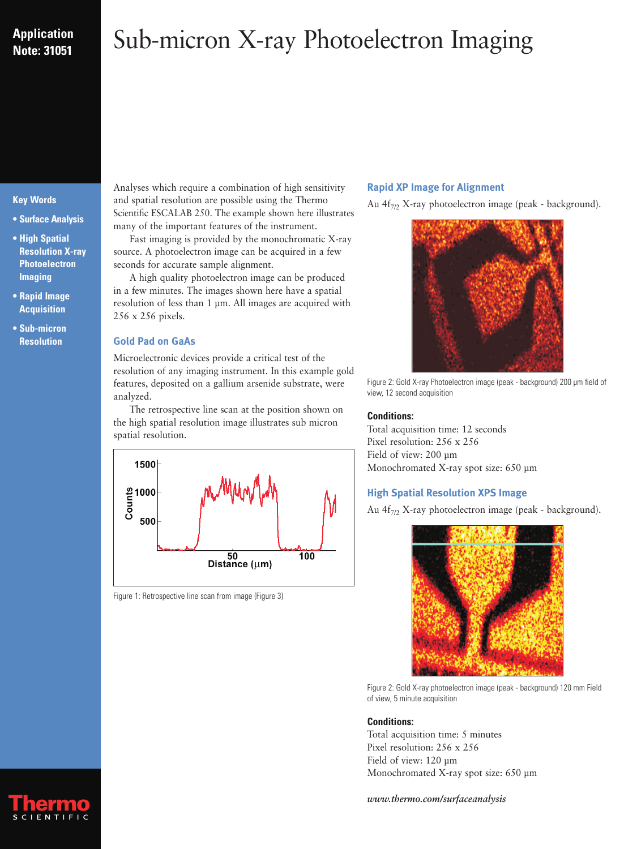## **Application Note: 31051**

# Sub-micron X-ray Photoelectron Imaging

#### **Key Words**

- **Surface Analysis**
- **High Spatial Resolution X-ray Photoelectron Imaging**
- **Rapid Image Acquisition**
- **Sub-micron Resolution**

Analyses which require a combination of high sensitivity and spatial resolution are possible using the Thermo Scientific ESCALAB 250. The example shown here illustrates many of the important features of the instrument.

Fast imaging is provided by the monochromatic X-ray source. A photoelectron image can be acquired in a few seconds for accurate sample alignment.

A high quality photoelectron image can be produced in a few minutes. The images shown here have a spatial resolution of less than 1 µm. All images are acquired with 256 x 256 pixels.

#### **Gold Pad on GaAs**

Microelectronic devices provide a critical test of the resolution of any imaging instrument. In this example gold features, deposited on a gallium arsenide substrate, were analyzed.

The retrospective line scan at the position shown on the high spatial resolution image illustrates sub micron spatial resolution.



Figure 1: Retrospective line scan from image (Figure 3)

#### **Rapid XP Image for Alignment**

Au  $4f_{7/2}$  X-ray photoelectron image (peak - background).



Figure 2: Gold X-ray Photoelectron image (peak - background) 200 µm field of view, 12 second acquisition

#### **Conditions:**

Total acquisition time: 12 seconds Pixel resolution: 256 x 256 Field of view: 200 µm Monochromated X-ray spot size: 650 µm

### **High Spatial Resolution XPS Image**

Au  $4f_{7/2}$  X-ray photoelectron image (peak - background).



Figure 2: Gold X-ray photoelectron image (peak - background) 120 mm Field of view, 5 minute acquisition

#### **Conditions:**

Total acquisition time: 5 minutes Pixel resolution: 256 x 256 Field of view: 120 µm Monochromated X-ray spot size: 650 µm

*www.thermo.com/surfaceanalysis*